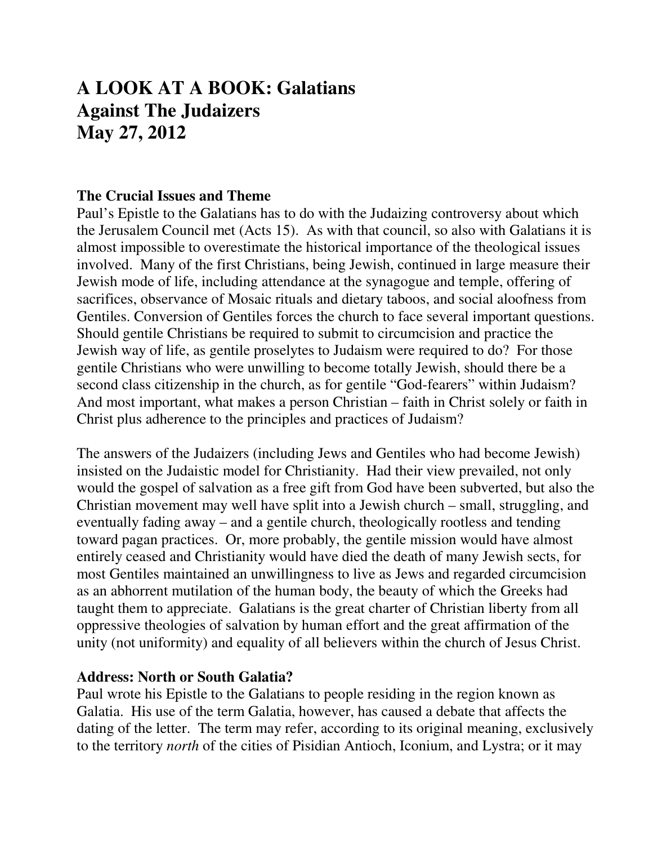# **A LOOK AT A BOOK: Galatians Against The Judaizers May 27, 2012**

#### **The Crucial Issues and Theme**

Paul's Epistle to the Galatians has to do with the Judaizing controversy about which the Jerusalem Council met (Acts 15). As with that council, so also with Galatians it is almost impossible to overestimate the historical importance of the theological issues involved. Many of the first Christians, being Jewish, continued in large measure their Jewish mode of life, including attendance at the synagogue and temple, offering of sacrifices, observance of Mosaic rituals and dietary taboos, and social aloofness from Gentiles. Conversion of Gentiles forces the church to face several important questions. Should gentile Christians be required to submit to circumcision and practice the Jewish way of life, as gentile proselytes to Judaism were required to do? For those gentile Christians who were unwilling to become totally Jewish, should there be a second class citizenship in the church, as for gentile "God-fearers" within Judaism? And most important, what makes a person Christian – faith in Christ solely or faith in Christ plus adherence to the principles and practices of Judaism?

The answers of the Judaizers (including Jews and Gentiles who had become Jewish) insisted on the Judaistic model for Christianity. Had their view prevailed, not only would the gospel of salvation as a free gift from God have been subverted, but also the Christian movement may well have split into a Jewish church – small, struggling, and eventually fading away – and a gentile church, theologically rootless and tending toward pagan practices. Or, more probably, the gentile mission would have almost entirely ceased and Christianity would have died the death of many Jewish sects, for most Gentiles maintained an unwillingness to live as Jews and regarded circumcision as an abhorrent mutilation of the human body, the beauty of which the Greeks had taught them to appreciate. Galatians is the great charter of Christian liberty from all oppressive theologies of salvation by human effort and the great affirmation of the unity (not uniformity) and equality of all believers within the church of Jesus Christ.

#### **Address: North or South Galatia?**

Paul wrote his Epistle to the Galatians to people residing in the region known as Galatia. His use of the term Galatia, however, has caused a debate that affects the dating of the letter. The term may refer, according to its original meaning, exclusively to the territory *north* of the cities of Pisidian Antioch, Iconium, and Lystra; or it may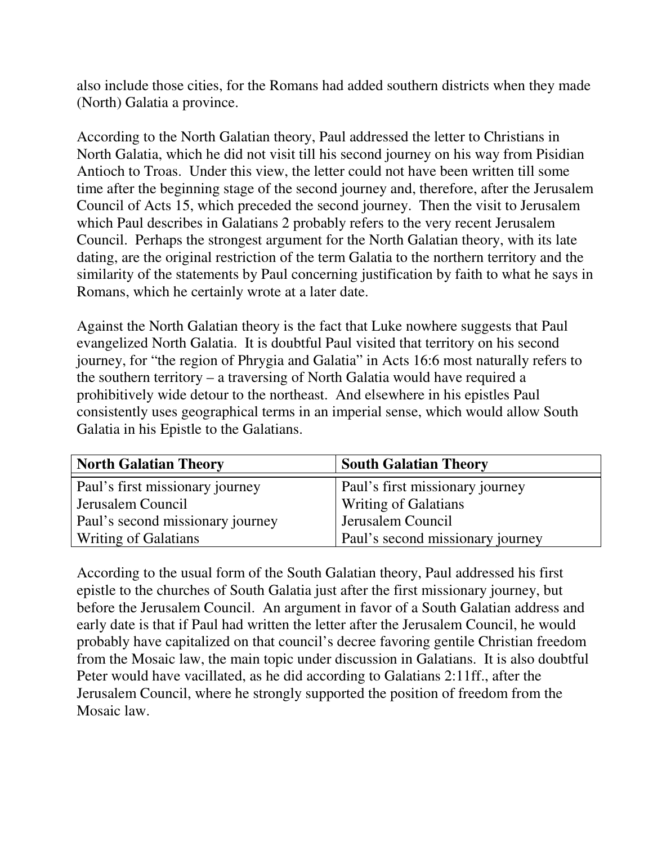also include those cities, for the Romans had added southern districts when they made (North) Galatia a province.

According to the North Galatian theory, Paul addressed the letter to Christians in North Galatia, which he did not visit till his second journey on his way from Pisidian Antioch to Troas. Under this view, the letter could not have been written till some time after the beginning stage of the second journey and, therefore, after the Jerusalem Council of Acts 15, which preceded the second journey. Then the visit to Jerusalem which Paul describes in Galatians 2 probably refers to the very recent Jerusalem Council. Perhaps the strongest argument for the North Galatian theory, with its late dating, are the original restriction of the term Galatia to the northern territory and the similarity of the statements by Paul concerning justification by faith to what he says in Romans, which he certainly wrote at a later date.

Against the North Galatian theory is the fact that Luke nowhere suggests that Paul evangelized North Galatia. It is doubtful Paul visited that territory on his second journey, for "the region of Phrygia and Galatia" in Acts 16:6 most naturally refers to the southern territory – a traversing of North Galatia would have required a prohibitively wide detour to the northeast. And elsewhere in his epistles Paul consistently uses geographical terms in an imperial sense, which would allow South Galatia in his Epistle to the Galatians.

| <b>North Galatian Theory</b>     | <b>South Galatian Theory</b>     |
|----------------------------------|----------------------------------|
| Paul's first missionary journey  | Paul's first missionary journey  |
| Jerusalem Council                | <b>Writing of Galatians</b>      |
| Paul's second missionary journey | Jerusalem Council                |
| <b>Writing of Galatians</b>      | Paul's second missionary journey |

According to the usual form of the South Galatian theory, Paul addressed his first epistle to the churches of South Galatia just after the first missionary journey, but before the Jerusalem Council. An argument in favor of a South Galatian address and early date is that if Paul had written the letter after the Jerusalem Council, he would probably have capitalized on that council's decree favoring gentile Christian freedom from the Mosaic law, the main topic under discussion in Galatians. It is also doubtful Peter would have vacillated, as he did according to Galatians 2:11ff., after the Jerusalem Council, where he strongly supported the position of freedom from the Mosaic law.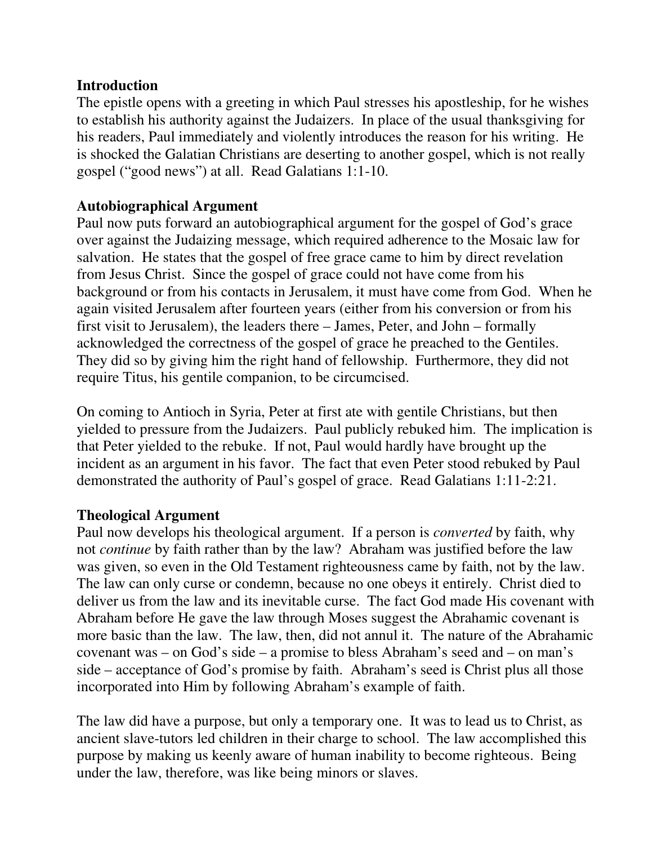## **Introduction**

The epistle opens with a greeting in which Paul stresses his apostleship, for he wishes to establish his authority against the Judaizers. In place of the usual thanksgiving for his readers, Paul immediately and violently introduces the reason for his writing. He is shocked the Galatian Christians are deserting to another gospel, which is not really gospel ("good news") at all. Read Galatians 1:1-10.

## **Autobiographical Argument**

Paul now puts forward an autobiographical argument for the gospel of God's grace over against the Judaizing message, which required adherence to the Mosaic law for salvation. He states that the gospel of free grace came to him by direct revelation from Jesus Christ. Since the gospel of grace could not have come from his background or from his contacts in Jerusalem, it must have come from God. When he again visited Jerusalem after fourteen years (either from his conversion or from his first visit to Jerusalem), the leaders there – James, Peter, and John – formally acknowledged the correctness of the gospel of grace he preached to the Gentiles. They did so by giving him the right hand of fellowship. Furthermore, they did not require Titus, his gentile companion, to be circumcised.

On coming to Antioch in Syria, Peter at first ate with gentile Christians, but then yielded to pressure from the Judaizers. Paul publicly rebuked him. The implication is that Peter yielded to the rebuke. If not, Paul would hardly have brought up the incident as an argument in his favor. The fact that even Peter stood rebuked by Paul demonstrated the authority of Paul's gospel of grace. Read Galatians 1:11-2:21.

## **Theological Argument**

Paul now develops his theological argument. If a person is *converted* by faith, why not *continue* by faith rather than by the law? Abraham was justified before the law was given, so even in the Old Testament righteousness came by faith, not by the law. The law can only curse or condemn, because no one obeys it entirely. Christ died to deliver us from the law and its inevitable curse. The fact God made His covenant with Abraham before He gave the law through Moses suggest the Abrahamic covenant is more basic than the law. The law, then, did not annul it. The nature of the Abrahamic covenant was – on God's side – a promise to bless Abraham's seed and – on man's side – acceptance of God's promise by faith. Abraham's seed is Christ plus all those incorporated into Him by following Abraham's example of faith.

The law did have a purpose, but only a temporary one. It was to lead us to Christ, as ancient slave-tutors led children in their charge to school. The law accomplished this purpose by making us keenly aware of human inability to become righteous. Being under the law, therefore, was like being minors or slaves.